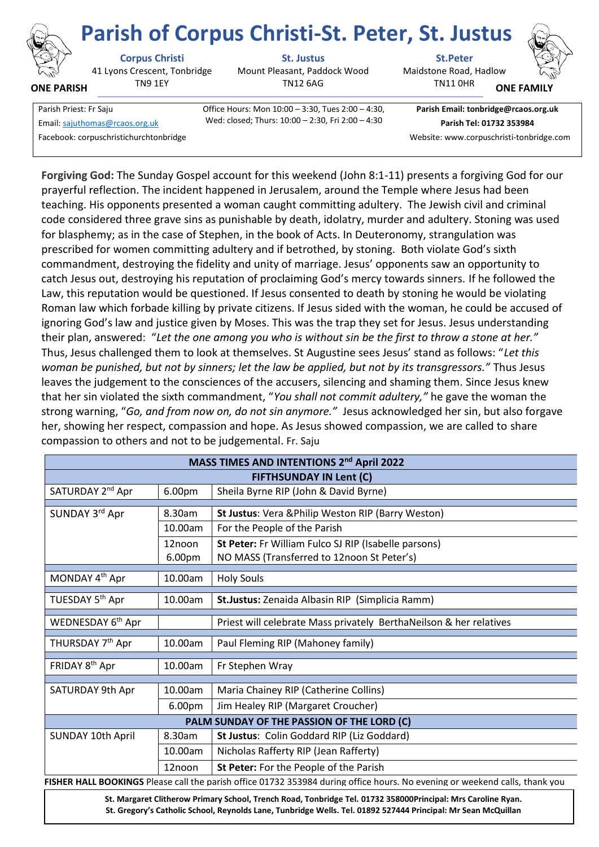

**ONE PARISH**

41 Lyons Crescent, Tonbridge TN9 1EY

**Corpus Christi St. Justus St.Peter**

Mount Pleasant, Paddock Wood TN12 6AG

Maidstone Road, Hadlow **Parish of Corpus Christi-St. Peter, St. Justus**

TN11 0HR



**ONE FAMI** 

Facebook: corpuschristichurchtonbridge Website: www.corpuschristi-tonbridge.com

Parish Priest: Fr Saju Office Hours: Mon 10:00 – 3:30, Tues 2:00 – 4:30, Wed: closed; Thurs: 10:00 – 2:30, Fri 2:00 – 4:30 Email[: sajuthomas@rcaos.org.uk](about:blank) **Parish Tel: 01732 353984**

**Parish Email: tonbridge@rcaos.org.uk**

**Forgiving God:** The Sunday Gospel account for this weekend (John 8:1-11) presents a forgiving God for our prayerful reflection. The incident happened in Jerusalem, around the Temple where Jesus had been teaching. His opponents presented a woman caught committing adultery. The Jewish civil and criminal code considered three grave sins as punishable by death, idolatry, murder and adultery. Stoning was used for blasphemy; as in the case of Stephen, in the book of Acts. In Deuteronomy, strangulation was prescribed for women committing adultery and if betrothed, by stoning. Both violate God's sixth commandment, destroying the fidelity and unity of marriage. Jesus' opponents saw an opportunity to catch Jesus out, destroying his reputation of proclaiming God's mercy towards sinners. If he followed the Law, this reputation would be questioned. If Jesus consented to death by stoning he would be violating Roman law which forbade killing by private citizens. If Jesus sided with the woman, he could be accused of ignoring God's law and justice given by Moses. This was the trap they set for Jesus. Jesus understanding their plan, answered: "*Let the one among you who is without sin be the first to throw a stone at her."* Thus, Jesus challenged them to look at themselves. St Augustine sees Jesus' stand as follows: "*Let this woman be punished, but not by sinners; let the law be applied, but not by its transgressors."* Thus Jesus leaves the judgement to the consciences of the accusers, silencing and shaming them. Since Jesus knew that her sin violated the sixth commandment, "*You shall not commit adultery,"* he gave the woman the strong warning, "*Go, and from now on, do not sin anymore."* Jesus acknowledged her sin, but also forgave her, showing her respect, compassion and hope. As Jesus showed compassion, we are called to share compassion to others and not to be judgemental. Fr. Saju

| MASS TIMES AND INTENTIONS 2 <sup>nd</sup> April 2022                                                                               |         |                                                                    |
|------------------------------------------------------------------------------------------------------------------------------------|---------|--------------------------------------------------------------------|
| <b>FIFTHSUNDAY IN Lent (C)</b>                                                                                                     |         |                                                                    |
| SATURDAY 2 <sup>nd</sup> Apr                                                                                                       | 6.00pm  | Sheila Byrne RIP (John & David Byrne)                              |
|                                                                                                                                    |         |                                                                    |
| SUNDAY 3rd Apr                                                                                                                     | 8.30am  | St Justus: Vera & Philip Weston RIP (Barry Weston)                 |
|                                                                                                                                    | 10.00am | For the People of the Parish                                       |
|                                                                                                                                    | 12noon  | St Peter: Fr William Fulco SJ RIP (Isabelle parsons)               |
|                                                                                                                                    | 6.00pm  | NO MASS (Transferred to 12noon St Peter's)                         |
| MONDAY 4th Apr                                                                                                                     | 10.00am | <b>Holy Souls</b>                                                  |
|                                                                                                                                    |         |                                                                    |
| TUESDAY 5 <sup>th</sup> Apr                                                                                                        | 10.00am | St.Justus: Zenaida Albasin RIP (Simplicia Ramm)                    |
|                                                                                                                                    |         |                                                                    |
| WEDNESDAY 6 <sup>th</sup> Apr                                                                                                      |         | Priest will celebrate Mass privately BerthaNeilson & her relatives |
| THURSDAY 7 <sup>th</sup> Apr                                                                                                       | 10.00am | Paul Fleming RIP (Mahoney family)                                  |
|                                                                                                                                    |         |                                                                    |
| FRIDAY 8 <sup>th</sup> Apr                                                                                                         | 10.00am | Fr Stephen Wray                                                    |
|                                                                                                                                    |         |                                                                    |
| SATURDAY 9th Apr                                                                                                                   | 10.00am | Maria Chainey RIP (Catherine Collins)                              |
|                                                                                                                                    | 6.00pm  | Jim Healey RIP (Margaret Croucher)                                 |
| PALM SUNDAY OF THE PASSION OF THE LORD (C)                                                                                         |         |                                                                    |
| SUNDAY 10th April                                                                                                                  | 8.30am  | St Justus: Colin Goddard RIP (Liz Goddard)                         |
|                                                                                                                                    | 10.00am | Nicholas Rafferty RIP (Jean Rafferty)                              |
|                                                                                                                                    | 12noon  | St Peter: For the People of the Parish                             |
| <b>FISHER HALL ROOKINGS</b> Please call the parish office 01732 353984 during office hours. No evening or weekend calls, thank you |         |                                                                    |

**FISHER HALL BOOKINGS** Please call the parish office 01732 353984 during office hours. No evening or weekend calls, thank you

**St. Margaret Clitherow Primary School, Trench Road, Tonbridge Tel. 01732 358000Principal: Mrs Caroline Ryan. St. Gregory's Catholic School, Reynolds Lane, Tunbridge Wells. Tel. 01892 527444 Principal: Mr Sean McQuillan**